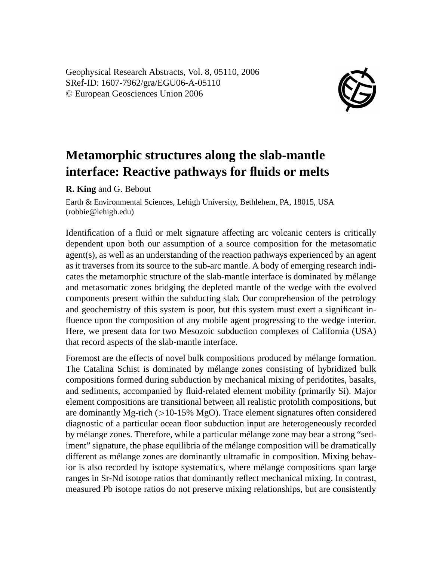Geophysical Research Abstracts, Vol. 8, 05110, 2006 SRef-ID: 1607-7962/gra/EGU06-A-05110 © European Geosciences Union 2006



## **Metamorphic structures along the slab-mantle interface: Reactive pathways for fluids or melts**

**R. King** and G. Bebout

Earth & Environmental Sciences, Lehigh University, Bethlehem, PA, 18015, USA (robbie@lehigh.edu)

Identification of a fluid or melt signature affecting arc volcanic centers is critically dependent upon both our assumption of a source composition for the metasomatic agent(s), as well as an understanding of the reaction pathways experienced by an agent as it traverses from its source to the sub-arc mantle. A body of emerging research indicates the metamorphic structure of the slab-mantle interface is dominated by mélange and metasomatic zones bridging the depleted mantle of the wedge with the evolved components present within the subducting slab. Our comprehension of the petrology and geochemistry of this system is poor, but this system must exert a significant influence upon the composition of any mobile agent progressing to the wedge interior. Here, we present data for two Mesozoic subduction complexes of California (USA) that record aspects of the slab-mantle interface.

Foremost are the effects of novel bulk compositions produced by mélange formation. The Catalina Schist is dominated by mélange zones consisting of hybridized bulk compositions formed during subduction by mechanical mixing of peridotites, basalts, and sediments, accompanied by fluid-related element mobility (primarily Si). Major element compositions are transitional between all realistic protolith compositions, but are dominantly Mg-rich  $(>10-15\% \text{ MgO})$ . Trace element signatures often considered diagnostic of a particular ocean floor subduction input are heterogeneously recorded by mélange zones. Therefore, while a particular mélange zone may bear a strong "sediment" signature, the phase equilibria of the mélange composition will be dramatically different as mélange zones are dominantly ultramafic in composition. Mixing behavior is also recorded by isotope systematics, where mélange compositions span large ranges in Sr-Nd isotope ratios that dominantly reflect mechanical mixing. In contrast, measured Pb isotope ratios do not preserve mixing relationships, but are consistently